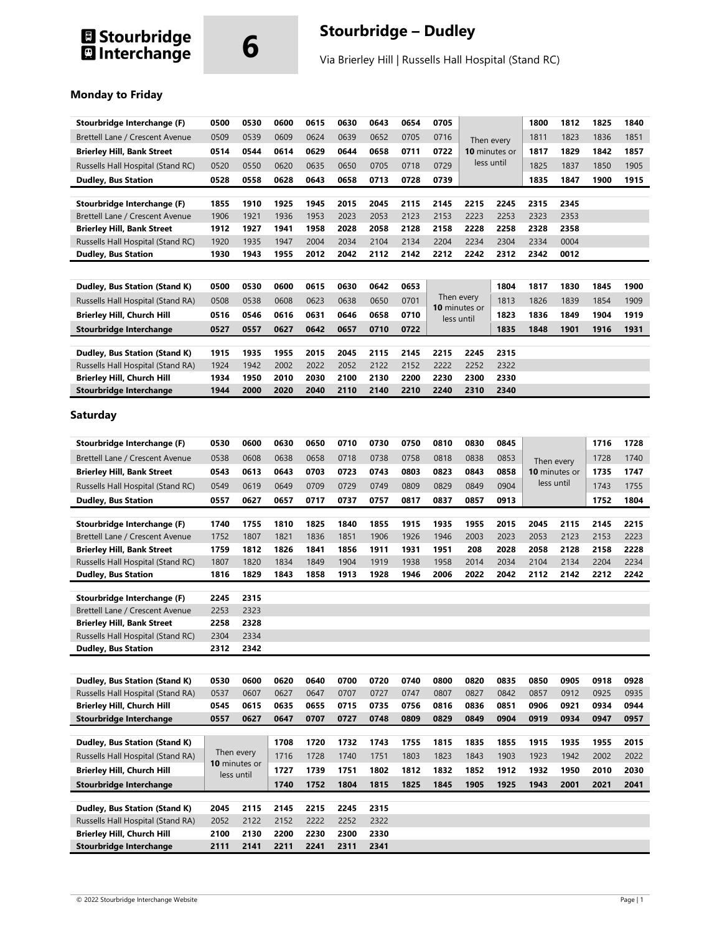# **1 Stourbridge 6 6 CONTROVIDE Stourbridge – Dudley Stourbridge – Dudley 11 Australian Extract Contract Contract Contract Contract Contract Contract Contract Contract Contract Contract Contract Contract Contract Contract Co**

Via Brierley Hill | Russells Hall Hospital (Stand RC)

## **Monday to Friday**

| Stourbridge Interchange (F)                                    | 0500         | 0530          | 0600         | 0615         | 0630         | 0643         | 0654         | 0705         |                                           |              | 1800         | 1812                        | 1825         | 1840         |
|----------------------------------------------------------------|--------------|---------------|--------------|--------------|--------------|--------------|--------------|--------------|-------------------------------------------|--------------|--------------|-----------------------------|--------------|--------------|
| Brettell Lane / Crescent Avenue                                | 0509         | 0539          | 0609         | 0624         | 0639         | 0652         | 0705         | 0716         | Then every<br>10 minutes or<br>less until |              | 1811         | 1823                        | 1836         | 1851         |
| <b>Brierley Hill, Bank Street</b>                              | 0514         | 0544          | 0614         | 0629         | 0644         | 0658         | 0711         | 0722         |                                           |              | 1817         | 1829                        | 1842         | 1857         |
| Russells Hall Hospital (Stand RC)                              | 0520         | 0550          | 0620         | 0635         | 0650         | 0705         | 0718         | 0729         |                                           |              | 1825         | 1837                        | 1850         | 1905         |
|                                                                |              |               |              |              |              |              |              |              |                                           |              |              |                             |              |              |
| <b>Dudley, Bus Station</b>                                     | 0528         | 0558          | 0628         | 0643         | 0658         | 0713         | 0728         | 0739         |                                           |              | 1835         | 1847                        | 1900         | 1915         |
| Stourbridge Interchange (F)                                    | 1855         | 1910          | 1925         | 1945         | 2015         | 2045         | 2115         | 2145         | 2215                                      | 2245         | 2315         | 2345                        |              |              |
| Brettell Lane / Crescent Avenue                                | 1906         | 1921          | 1936         | 1953         | 2023         | 2053         | 2123         | 2153         | 2223                                      | 2253         | 2323         | 2353                        |              |              |
| <b>Brierley Hill, Bank Street</b>                              | 1912         | 1927          | 1941         | 1958         | 2028         | 2058         | 2128         | 2158         | 2228                                      | 2258         | 2328         | 2358                        |              |              |
| Russells Hall Hospital (Stand RC)                              | 1920         | 1935          | 1947         | 2004         | 2034         | 2104         | 2134         | 2204         | 2234                                      | 2304         | 2334         | 0004                        |              |              |
| <b>Dudley, Bus Station</b>                                     | 1930         | 1943          | 1955         | 2012         | 2042         | 2112         | 2142         | 2212         | 2242                                      | 2312         | 2342         | 0012                        |              |              |
|                                                                |              |               |              |              |              |              |              |              |                                           |              |              |                             |              |              |
|                                                                | 0500         | 0530          | 0600         | 0615         | 0630         | 0642         | 0653         |              |                                           | 1804         | 1817         | 1830                        | 1845         | 1900         |
| Dudley, Bus Station (Stand K)                                  |              |               |              |              |              |              |              |              | Then every                                |              |              |                             |              |              |
| Russells Hall Hospital (Stand RA)                              | 0508         | 0538          | 0608         | 0623         | 0638         | 0650         | 0701         |              | 10 minutes or                             | 1813         | 1826         | 1839                        | 1854         | 1909         |
| <b>Brierley Hill, Church Hill</b>                              | 0516         | 0546          | 0616         | 0631         | 0646         | 0658         | 0710         |              | 1823<br>less until                        |              | 1836         | 1849                        | 1904         | 1919         |
| <b>Stourbridge Interchange</b>                                 | 0527         | 0557          | 0627         | 0642         | 0657         | 0710         | 0722         |              | 1835                                      |              | 1848         | 1901                        | 1916         | 1931         |
|                                                                |              |               |              |              |              |              |              |              |                                           |              |              |                             |              |              |
| Dudley, Bus Station (Stand K)                                  | 1915         | 1935          | 1955         | 2015         | 2045         | 2115         | 2145         | 2215         | 2245                                      | 2315         |              |                             |              |              |
| Russells Hall Hospital (Stand RA)                              | 1924         | 1942          | 2002         | 2022         | 2052         | 2122         | 2152         | 2222         | 2252                                      | 2322<br>2330 |              |                             |              |              |
| Brierley Hill, Church Hill                                     | 1934<br>1944 | 1950<br>2000  | 2010<br>2020 | 2030<br>2040 | 2100<br>2110 | 2130<br>2140 | 2200<br>2210 | 2230<br>2240 | 2300<br>2310                              | 2340         |              |                             |              |              |
| Stourbridge Interchange                                        |              |               |              |              |              |              |              |              |                                           |              |              |                             |              |              |
| Saturday                                                       |              |               |              |              |              |              |              |              |                                           |              |              |                             |              |              |
| Stourbridge Interchange (F)                                    | 0530         | 0600          | 0630         | 0650         | 0710         | 0730         | 0750         | 0810         | 0830                                      | 0845         |              |                             | 1716         | 1728         |
|                                                                |              |               |              |              |              |              |              |              |                                           |              |              |                             |              |              |
| Brettell Lane / Crescent Avenue                                | 0538         | 0608          | 0638         | 0658         | 0718         | 0738         | 0758         | 0818         | 0838                                      | 0853         |              | Then every                  | 1728         | 1740         |
| <b>Brierley Hill, Bank Street</b>                              | 0543         | 0613          | 0643         | 0703         | 0723         | 0743         | 0803         | 0823         | 0843                                      | 0858         |              | 10 minutes or<br>less until | 1735         | 1747         |
| Russells Hall Hospital (Stand RC)                              | 0549         | 0619          | 0649         | 0709         | 0729         | 0749         | 0809         | 0829         | 0849                                      | 0904         |              |                             | 1743         | 1755         |
| <b>Dudley, Bus Station</b>                                     | 0557         | 0627          | 0657         | 0717         | 0737         | 0757         | 0817         | 0837         | 0857                                      | 0913         |              |                             | 1752         | 1804         |
|                                                                |              |               |              |              |              |              |              |              |                                           |              |              |                             |              |              |
| Stourbridge Interchange (F)<br>Brettell Lane / Crescent Avenue | 1740<br>1752 | 1755<br>1807  | 1810<br>1821 | 1825<br>1836 | 1840<br>1851 | 1855<br>1906 | 1915<br>1926 | 1935<br>1946 | 1955<br>2003                              | 2015<br>2023 | 2045<br>2053 | 2115<br>2123                | 2145<br>2153 | 2215<br>2223 |
| <b>Brierley Hill, Bank Street</b>                              | 1759         | 1812          | 1826         | 1841         | 1856         | 1911         | 1931         | 1951         | 208                                       | 2028         | 2058         | 2128                        | 2158         | 2228         |
| Russells Hall Hospital (Stand RC)                              | 1807         | 1820          | 1834         | 1849         | 1904         | 1919         | 1938         | 1958         | 2014                                      | 2034         | 2104         | 2134                        | 2204         | 2234         |
| <b>Dudley, Bus Station</b>                                     | 1816         | 1829          | 1843         | 1858         | 1913         | 1928         | 1946         | 2006         | 2022                                      | 2042         | 2112         | 2142                        | 2212         | 2242         |
|                                                                |              |               |              |              |              |              |              |              |                                           |              |              |                             |              |              |
| Stourbridge Interchange (F)                                    | 2245         | 2315          |              |              |              |              |              |              |                                           |              |              |                             |              |              |
| Brettell Lane / Crescent Avenue                                | 2253         | 2323          |              |              |              |              |              |              |                                           |              |              |                             |              |              |
| <b>Brierley Hill, Bank Street</b>                              | 2258         | 2328          |              |              |              |              |              |              |                                           |              |              |                             |              |              |
| Russells Hall Hospital (Stand RC)                              | 2304         | 2334          |              |              |              |              |              |              |                                           |              |              |                             |              |              |
| <b>Dudley, Bus Station</b>                                     | 2312         | 2342          |              |              |              |              |              |              |                                           |              |              |                             |              |              |
|                                                                |              |               |              |              |              |              |              |              |                                           |              |              |                             |              |              |
| Dudley, Bus Station (Stand K)                                  | 0530         | 0600          | 0620         | 0640         | 0700         | 0720         | 0740         | 0800         | 0820                                      | 0835         | 0850         | 0905                        | 0918         | 0928         |
| Russells Hall Hospital (Stand RA)                              | 0537         | 0607          | 0627         | 0647         | 0707         | 0727         | 0747         | 0807         | 0827                                      | 0842         | 0857         | 0912                        | 0925         | 0935         |
| <b>Brierley Hill, Church Hill</b>                              | 0545         | 0615          | 0635         | 0655         | 0715         | 0735         | 0756         | 0816         | 0836                                      | 0851         | 0906         | 0921                        | 0934         | 0944         |
| <b>Stourbridge Interchange</b>                                 | 0557         | 0627          | 0647         | 0707         | 0727         | 0748         | 0809         | 0829         | 0849                                      | 0904         | 0919         | 0934                        | 0947         | 0957         |
|                                                                |              |               |              |              |              |              |              |              |                                           |              |              |                             |              |              |
| Dudley, Bus Station (Stand K)                                  |              |               | 1708         | 1720         | 1732         | 1743         | 1755         | 1815         | 1835                                      | 1855         | 1915         | 1935                        | 1955         | 2015         |
| Russells Hall Hospital (Stand RA)                              |              | Then every    | 1716         | 1728         | 1740         | 1751         | 1803         | 1823         | 1843                                      | 1903         | 1923         | 1942                        | 2002         | 2022         |
| <b>Brierley Hill, Church Hill</b>                              |              | 10 minutes or | 1727         | 1739         | 1751         | 1802         | 1812         | 1832         | 1852                                      | 1912         | 1932         | 1950                        | 2010         | 2030         |
| Stourbridge Interchange                                        |              | less until    | 1740         | 1752         | 1804         | 1815         | 1825         | 1845         | 1905                                      | 1925         | 1943         | 2001                        | 2021         | 2041         |
|                                                                |              |               |              |              |              |              |              |              |                                           |              |              |                             |              |              |
| Dudley, Bus Station (Stand K)                                  | 2045         | 2115          | 2145         | 2215         | 2245         | 2315         |              |              |                                           |              |              |                             |              |              |
| Russells Hall Hospital (Stand RA)                              | 2052         | 2122          | 2152         | 2222         | 2252         | 2322         |              |              |                                           |              |              |                             |              |              |
| <b>Brierley Hill, Church Hill</b>                              | 2100         | 2130          | 2200         | 2230         | 2300         | 2330         |              |              |                                           |              |              |                             |              |              |
| <b>Stourbridge Interchange</b>                                 | 2111         | 2141          | 2211         | 2241         | 2311         | 2341         |              |              |                                           |              |              |                             |              |              |